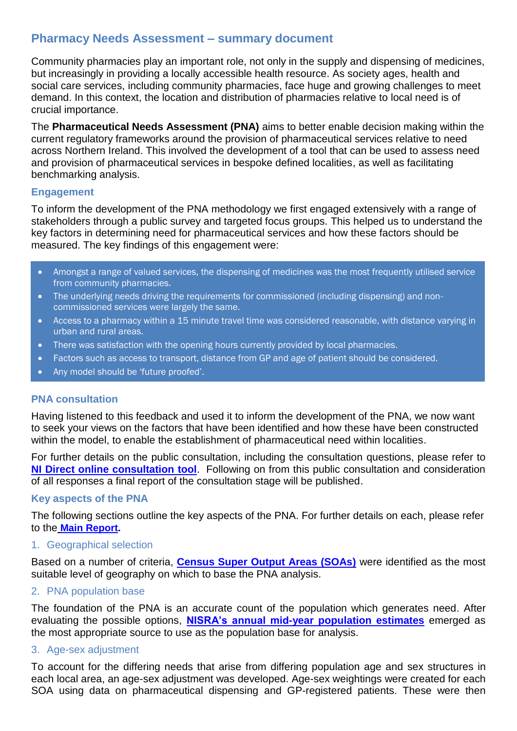# **Pharmacy Needs Assessment – summary document**

Community pharmacies play an important role, not only in the supply and dispensing of medicines, but increasingly in providing a locally accessible health resource. As society ages, health and social care services, including community pharmacies, face huge and growing challenges to meet demand. In this context, the location and distribution of pharmacies relative to local need is of crucial importance.

The **Pharmaceutical Needs Assessment (PNA)** aims to better enable decision making within the current regulatory frameworks around the provision of pharmaceutical services relative to need across Northern Ireland. This involved the development of a tool that can be used to assess need and provision of pharmaceutical services in bespoke defined localities, as well as facilitating benchmarking analysis.

## **Engagement**

To inform the development of the PNA methodology we first engaged extensively with a range of stakeholders through a public survey and targeted focus groups. This helped us to understand the key factors in determining need for pharmaceutical services and how these factors should be measured. The key findings of this engagement were:

- Amongst a range of valued services, the dispensing of medicines was the most frequently utilised service from community pharmacies.
- The underlying needs driving the requirements for commissioned (including dispensing) and noncommissioned services were largely the same.
- Access to a pharmacy within a 15 minute travel time was considered reasonable, with distance varying in urban and rural areas.
- There was satisfaction with the opening hours currently provided by local pharmacies.
- Factors such as access to transport, distance from GP and age of patient should be considered.
- Any model should be 'future proofed'.

## **PNA consultation**

Having listened to this feedback and used it to inform the development of the PNA, we now want to seek your views on the factors that have been identified and how these have been constructed within the model, to enable the establishment of pharmaceutical need within localities.

For further details on the public consultation, including the consultation questions, please refer to **[NI Direct online consultation tool](https://consultations.nidirect.gov.uk/hsc-new-models-of-prescribing/consultation-on-the-pharmacy-needs-assessment-ques/)**. Following on from this public consultation and consideration of all responses a final report of the consultation stage will be published.

## **Key aspects of the PNA**

The following sections outline the key aspects of the PNA. For further details on each, please refer to the **Main [Report.](http://www.hscboard.hscni.net/get-involved/consultations/pna/)**

## 1. Geographical selection

Based on a number of criteria, **[Census Super Output Areas \(SOAs\)](https://www.nisra.gov.uk/support/geography/northern-ireland-super-output-areas)** were identified as the most suitable level of geography on which to base the PNA analysis.

2. PNA population base

The foundation of the PNA is an accurate count of the population which generates need. After evaluating the possible options, **[NISRA's annual mid-year population estimates](https://www.nisra.gov.uk/statistics/population/mid-year-population-estimates)** emerged as the most appropriate source to use as the population base for analysis.

## 3. Age-sex adjustment

To account for the differing needs that arise from differing population age and sex structures in each local area, an age-sex adjustment was developed. Age-sex weightings were created for each SOA using data on pharmaceutical dispensing and GP-registered patients. These were then